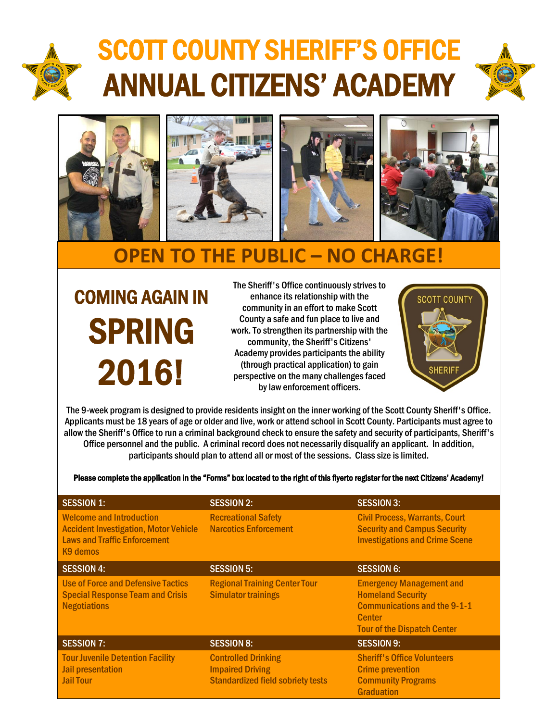

## SCOTT COUNTY SHERIFF'S OFFICE ANNUAL CITIZENS' ACADEMY





## **OPEN TO THE PUBLIC – NO CHARGE!**

COMING AGAIN IN SPRING 2016!

The Sheriff's Office continuously strives to enhance its relationship with the community in an effort to make Scott County a safe and fun place to live and work. To strengthen its partnership with the community, the Sheriff's Citizens' Academy provides participants the ability (through practical application) to gain perspective on the many challenges faced by law enforcement officers.



The 9-week program is designed to provide residents insight on the inner working of the Scott County Sheriff's Office. Applicants must be 18 years of age or older and live, work or attend school in Scott County. Participants must agree to allow the Sheriff's Office to run a criminal background check to ensure the safety and security of participants, Sheriff's Office personnel and the public. A criminal record does not necessarily disqualify an applicant. In addition, participants should plan to attend all or most of the sessions. Class size is limited.

Please complete the application in the "Forms" box located to the right of this flyerto register for the next Citizens' Academy!

| <b>SESSION 1:</b>                                                                                                                              | <b>SESSION 2:</b>                                                                                 | <b>SESSION 3:</b>                                                                                                                                         |
|------------------------------------------------------------------------------------------------------------------------------------------------|---------------------------------------------------------------------------------------------------|-----------------------------------------------------------------------------------------------------------------------------------------------------------|
| <b>Welcome and Introduction</b><br><b>Accident Investigation, Motor Vehicle</b><br><b>Laws and Traffic Enforcement</b><br>K <sub>9</sub> demos | <b>Recreational Safety</b><br><b>Narcotics Enforcement</b>                                        | <b>Civil Process, Warrants, Court</b><br><b>Security and Campus Security</b><br><b>Investigations and Crime Scene</b>                                     |
| <b>SESSION 4:</b>                                                                                                                              | <b>SESSION 5:</b>                                                                                 | <b>SESSION 6:</b>                                                                                                                                         |
| <b>Use of Force and Defensive Tactics</b><br><b>Special Response Team and Crisis</b><br><b>Negotiations</b>                                    | <b>Regional Training Center Tour</b><br><b>Simulator trainings</b>                                | <b>Emergency Management and</b><br><b>Homeland Security</b><br><b>Communications and the 9-1-1</b><br><b>Center</b><br><b>Tour of the Dispatch Center</b> |
| <b>SESSION 7:</b>                                                                                                                              | <b>SESSION 8:</b>                                                                                 | <b>SESSION 9:</b>                                                                                                                                         |
| <b>Tour Juvenile Detention Facility</b><br><b>Jail presentation</b><br><b>Jail Tour</b>                                                        | <b>Controlled Drinking</b><br><b>Impaired Driving</b><br><b>Standardized field sobriety tests</b> | <b>Sheriff's Office Volunteers</b><br><b>Crime prevention</b><br><b>Community Programs</b><br><b>Graduation</b>                                           |